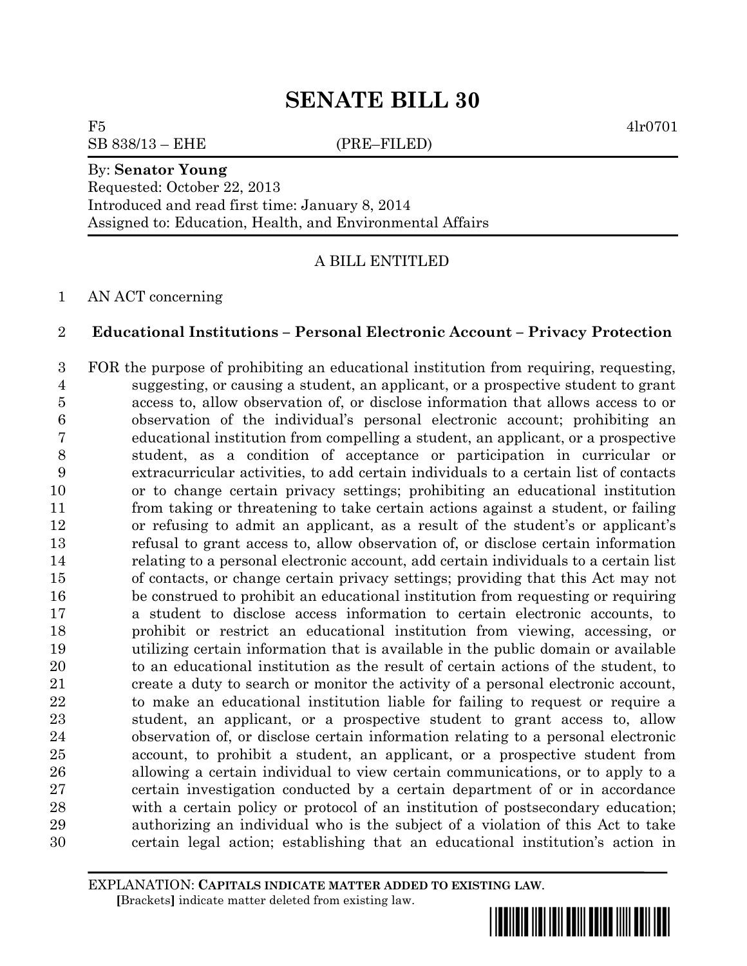# **SENATE BILL 30**

 $F5$  4lr0701

SB 838/13 – EHE (PRE–FILED)

## By: **Senator Young**

Requested: October 22, 2013 Introduced and read first time: January 8, 2014 Assigned to: Education, Health, and Environmental Affairs

A BILL ENTITLED

AN ACT concerning

## **Educational Institutions – Personal Electronic Account – Privacy Protection**

 FOR the purpose of prohibiting an educational institution from requiring, requesting, suggesting, or causing a student, an applicant, or a prospective student to grant access to, allow observation of, or disclose information that allows access to or observation of the individual's personal electronic account; prohibiting an educational institution from compelling a student, an applicant, or a prospective student, as a condition of acceptance or participation in curricular or extracurricular activities, to add certain individuals to a certain list of contacts or to change certain privacy settings; prohibiting an educational institution from taking or threatening to take certain actions against a student, or failing or refusing to admit an applicant, as a result of the student's or applicant's refusal to grant access to, allow observation of, or disclose certain information relating to a personal electronic account, add certain individuals to a certain list of contacts, or change certain privacy settings; providing that this Act may not be construed to prohibit an educational institution from requesting or requiring a student to disclose access information to certain electronic accounts, to prohibit or restrict an educational institution from viewing, accessing, or utilizing certain information that is available in the public domain or available to an educational institution as the result of certain actions of the student, to create a duty to search or monitor the activity of a personal electronic account, to make an educational institution liable for failing to request or require a student, an applicant, or a prospective student to grant access to, allow observation of, or disclose certain information relating to a personal electronic account, to prohibit a student, an applicant, or a prospective student from allowing a certain individual to view certain communications, or to apply to a certain investigation conducted by a certain department of or in accordance with a certain policy or protocol of an institution of postsecondary education; authorizing an individual who is the subject of a violation of this Act to take certain legal action; establishing that an educational institution's action in

EXPLANATION: **CAPITALS INDICATE MATTER ADDED TO EXISTING LAW**.  **[**Brackets**]** indicate matter deleted from existing law.

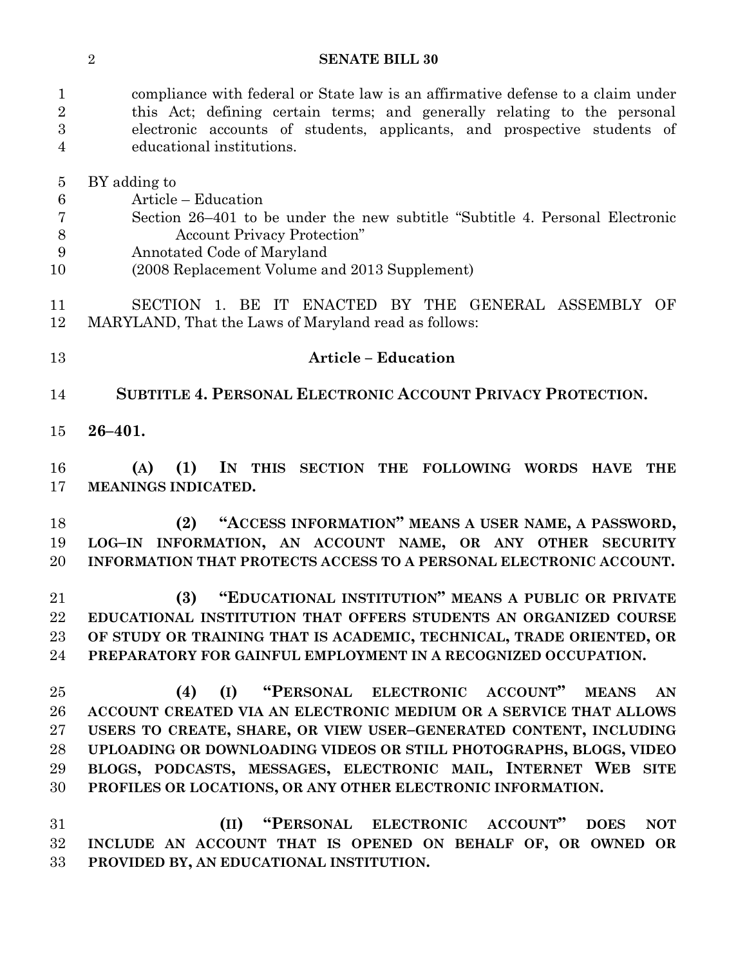#### **SENATE BILL 30**

 compliance with federal or State law is an affirmative defense to a claim under this Act; defining certain terms; and generally relating to the personal electronic accounts of students, applicants, and prospective students of educational institutions.

BY adding to

Article – Education

- Section 26–401 to be under the new subtitle "Subtitle 4. Personal Electronic Account Privacy Protection"
- Annotated Code of Maryland
- (2008 Replacement Volume and 2013 Supplement)

 SECTION 1. BE IT ENACTED BY THE GENERAL ASSEMBLY OF MARYLAND, That the Laws of Maryland read as follows:

### **Article – Education**

- **SUBTITLE 4. PERSONAL ELECTRONIC ACCOUNT PRIVACY PROTECTION.**
- **26–401.**

 **(A) (1) IN THIS SECTION THE FOLLOWING WORDS HAVE THE MEANINGS INDICATED.**

 **(2) "ACCESS INFORMATION" MEANS A USER NAME, A PASSWORD, LOG–IN INFORMATION, AN ACCOUNT NAME, OR ANY OTHER SECURITY INFORMATION THAT PROTECTS ACCESS TO A PERSONAL ELECTRONIC ACCOUNT.**

 **(3) "EDUCATIONAL INSTITUTION" MEANS A PUBLIC OR PRIVATE EDUCATIONAL INSTITUTION THAT OFFERS STUDENTS AN ORGANIZED COURSE OF STUDY OR TRAINING THAT IS ACADEMIC, TECHNICAL, TRADE ORIENTED, OR PREPARATORY FOR GAINFUL EMPLOYMENT IN A RECOGNIZED OCCUPATION.**

 **(4) (I) "PERSONAL ELECTRONIC ACCOUNT" MEANS AN ACCOUNT CREATED VIA AN ELECTRONIC MEDIUM OR A SERVICE THAT ALLOWS USERS TO CREATE, SHARE, OR VIEW USER–GENERATED CONTENT, INCLUDING UPLOADING OR DOWNLOADING VIDEOS OR STILL PHOTOGRAPHS, BLOGS, VIDEO BLOGS, PODCASTS, MESSAGES, ELECTRONIC MAIL, INTERNET WEB SITE PROFILES OR LOCATIONS, OR ANY OTHER ELECTRONIC INFORMATION.**

 **(II) "PERSONAL ELECTRONIC ACCOUNT" DOES NOT INCLUDE AN ACCOUNT THAT IS OPENED ON BEHALF OF, OR OWNED OR PROVIDED BY, AN EDUCATIONAL INSTITUTION.**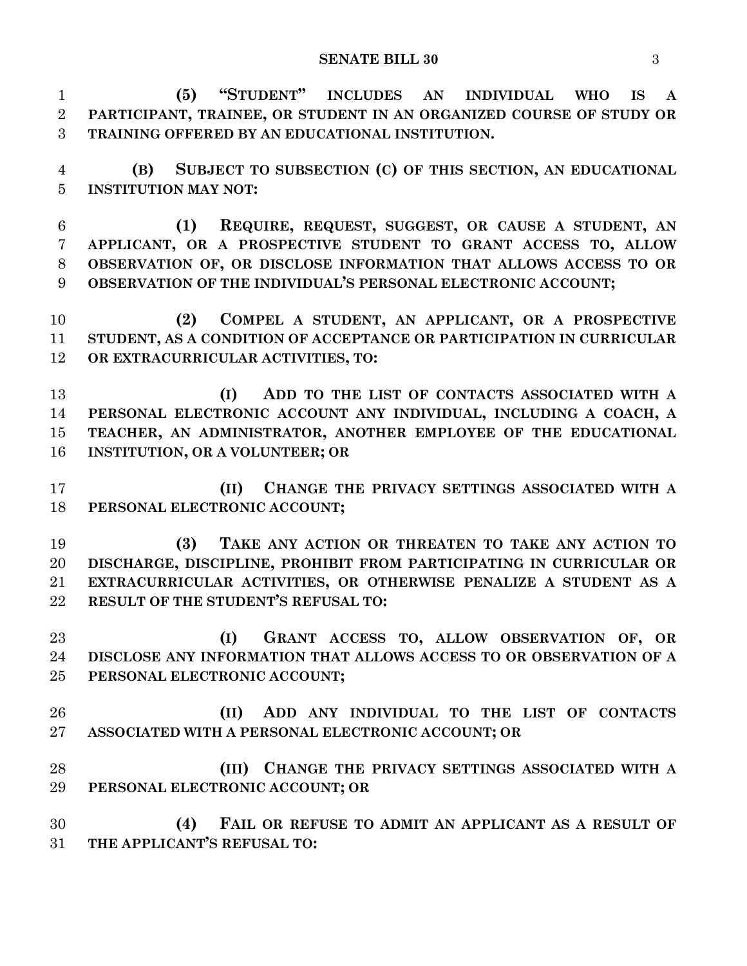**(5) "STUDENT" INCLUDES AN INDIVIDUAL WHO IS A PARTICIPANT, TRAINEE, OR STUDENT IN AN ORGANIZED COURSE OF STUDY OR TRAINING OFFERED BY AN EDUCATIONAL INSTITUTION. (B) SUBJECT TO SUBSECTION (C) OF THIS SECTION, AN EDUCATIONAL INSTITUTION MAY NOT: (1) REQUIRE, REQUEST, SUGGEST, OR CAUSE A STUDENT, AN APPLICANT, OR A PROSPECTIVE STUDENT TO GRANT ACCESS TO, ALLOW OBSERVATION OF, OR DISCLOSE INFORMATION THAT ALLOWS ACCESS TO OR OBSERVATION OF THE INDIVIDUAL'S PERSONAL ELECTRONIC ACCOUNT; (2) COMPEL A STUDENT, AN APPLICANT, OR A PROSPECTIVE STUDENT, AS A CONDITION OF ACCEPTANCE OR PARTICIPATION IN CURRICULAR OR EXTRACURRICULAR ACTIVITIES, TO: (I) ADD TO THE LIST OF CONTACTS ASSOCIATED WITH A PERSONAL ELECTRONIC ACCOUNT ANY INDIVIDUAL, INCLUDING A COACH, A TEACHER, AN ADMINISTRATOR, ANOTHER EMPLOYEE OF THE EDUCATIONAL INSTITUTION, OR A VOLUNTEER; OR (II) CHANGE THE PRIVACY SETTINGS ASSOCIATED WITH A PERSONAL ELECTRONIC ACCOUNT; (3) TAKE ANY ACTION OR THREATEN TO TAKE ANY ACTION TO DISCHARGE, DISCIPLINE, PROHIBIT FROM PARTICIPATING IN CURRICULAR OR EXTRACURRICULAR ACTIVITIES, OR OTHERWISE PENALIZE A STUDENT AS A RESULT OF THE STUDENT'S REFUSAL TO: (I) GRANT ACCESS TO, ALLOW OBSERVATION OF, OR DISCLOSE ANY INFORMATION THAT ALLOWS ACCESS TO OR OBSERVATION OF A PERSONAL ELECTRONIC ACCOUNT; (II) ADD ANY INDIVIDUAL TO THE LIST OF CONTACTS ASSOCIATED WITH A PERSONAL ELECTRONIC ACCOUNT; OR (III) CHANGE THE PRIVACY SETTINGS ASSOCIATED WITH A PERSONAL ELECTRONIC ACCOUNT; OR (4) FAIL OR REFUSE TO ADMIT AN APPLICANT AS A RESULT OF THE APPLICANT'S REFUSAL TO:**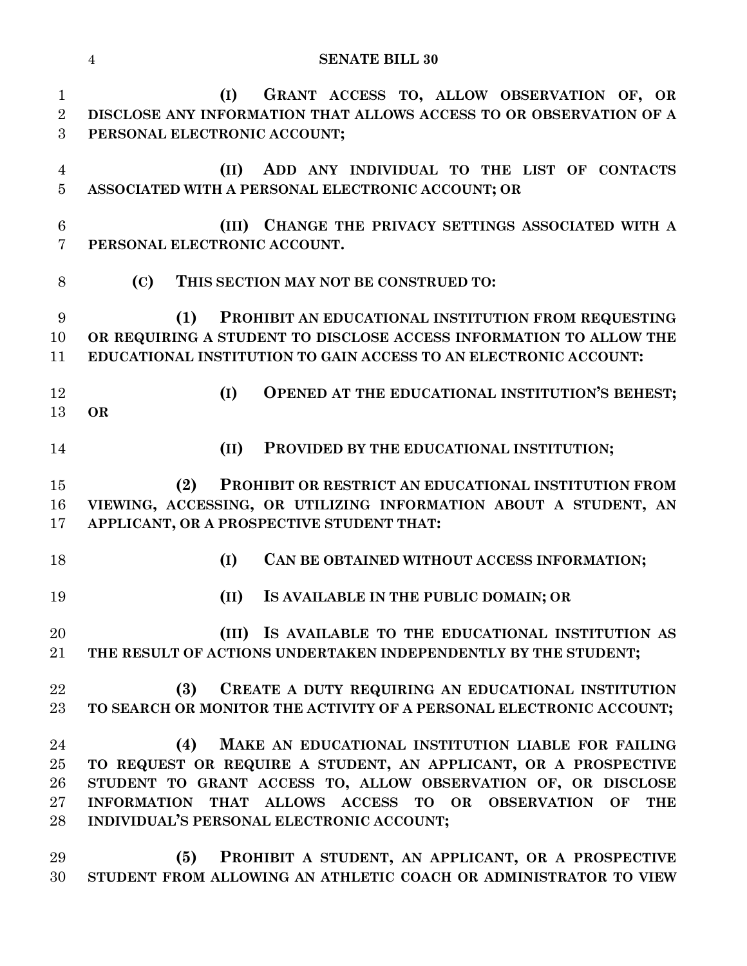|                                     | <b>SENATE BILL 30</b><br>$\overline{4}$                                                                                                                                                                                                                                                                         |
|-------------------------------------|-----------------------------------------------------------------------------------------------------------------------------------------------------------------------------------------------------------------------------------------------------------------------------------------------------------------|
| $\mathbf{1}$<br>$\overline{2}$<br>3 | GRANT ACCESS TO, ALLOW OBSERVATION OF, OR<br>(I)<br>DISCLOSE ANY INFORMATION THAT ALLOWS ACCESS TO OR OBSERVATION OF A<br>PERSONAL ELECTRONIC ACCOUNT;                                                                                                                                                          |
| 4<br>$\overline{5}$                 | ADD ANY INDIVIDUAL TO THE LIST OF CONTACTS<br>(II)<br>ASSOCIATED WITH A PERSONAL ELECTRONIC ACCOUNT; OR                                                                                                                                                                                                         |
| $6\phantom{.}6$<br>$\overline{7}$   | (III) CHANGE THE PRIVACY SETTINGS ASSOCIATED WITH A<br>PERSONAL ELECTRONIC ACCOUNT.                                                                                                                                                                                                                             |
| 8                                   | (C)<br>THIS SECTION MAY NOT BE CONSTRUED TO:                                                                                                                                                                                                                                                                    |
| 9<br>10<br>11                       | PROHIBIT AN EDUCATIONAL INSTITUTION FROM REQUESTING<br>(1)<br>OR REQUIRING A STUDENT TO DISCLOSE ACCESS INFORMATION TO ALLOW THE<br>EDUCATIONAL INSTITUTION TO GAIN ACCESS TO AN ELECTRONIC ACCOUNT:                                                                                                            |
| 12<br>13                            | OPENED AT THE EDUCATIONAL INSTITUTION'S BEHEST;<br>(I)<br><b>OR</b>                                                                                                                                                                                                                                             |
| 14                                  | (II)<br>PROVIDED BY THE EDUCATIONAL INSTITUTION;                                                                                                                                                                                                                                                                |
| 15<br>16<br>17                      | (2)<br>PROHIBIT OR RESTRICT AN EDUCATIONAL INSTITUTION FROM<br>VIEWING, ACCESSING, OR UTILIZING INFORMATION ABOUT A STUDENT, AN<br>APPLICANT, OR A PROSPECTIVE STUDENT THAT:                                                                                                                                    |
| 18                                  | CAN BE OBTAINED WITHOUT ACCESS INFORMATION;<br>(I)                                                                                                                                                                                                                                                              |
| 19                                  | (II) IS AVAILABLE IN THE PUBLIC DOMAIN; OR                                                                                                                                                                                                                                                                      |
| 20<br>21                            | IS AVAILABLE TO THE EDUCATIONAL INSTITUTION AS<br>(III)<br>THE RESULT OF ACTIONS UNDERTAKEN INDEPENDENTLY BY THE STUDENT;                                                                                                                                                                                       |
| 22<br>23                            | (3)<br>CREATE A DUTY REQUIRING AN EDUCATIONAL INSTITUTION<br>TO SEARCH OR MONITOR THE ACTIVITY OF A PERSONAL ELECTRONIC ACCOUNT;                                                                                                                                                                                |
| 24<br>25<br>26<br>$27\,$<br>28      | (4)<br>MAKE AN EDUCATIONAL INSTITUTION LIABLE FOR FAILING<br>TO REQUEST OR REQUIRE A STUDENT, AN APPLICANT, OR A PROSPECTIVE<br>STUDENT TO GRANT ACCESS TO, ALLOW OBSERVATION OF, OR DISCLOSE<br>INFORMATION THAT ALLOWS ACCESS TO OR OBSERVATION OF<br><b>THE</b><br>INDIVIDUAL'S PERSONAL ELECTRONIC ACCOUNT; |

 **(5) PROHIBIT A STUDENT, AN APPLICANT, OR A PROSPECTIVE STUDENT FROM ALLOWING AN ATHLETIC COACH OR ADMINISTRATOR TO VIEW**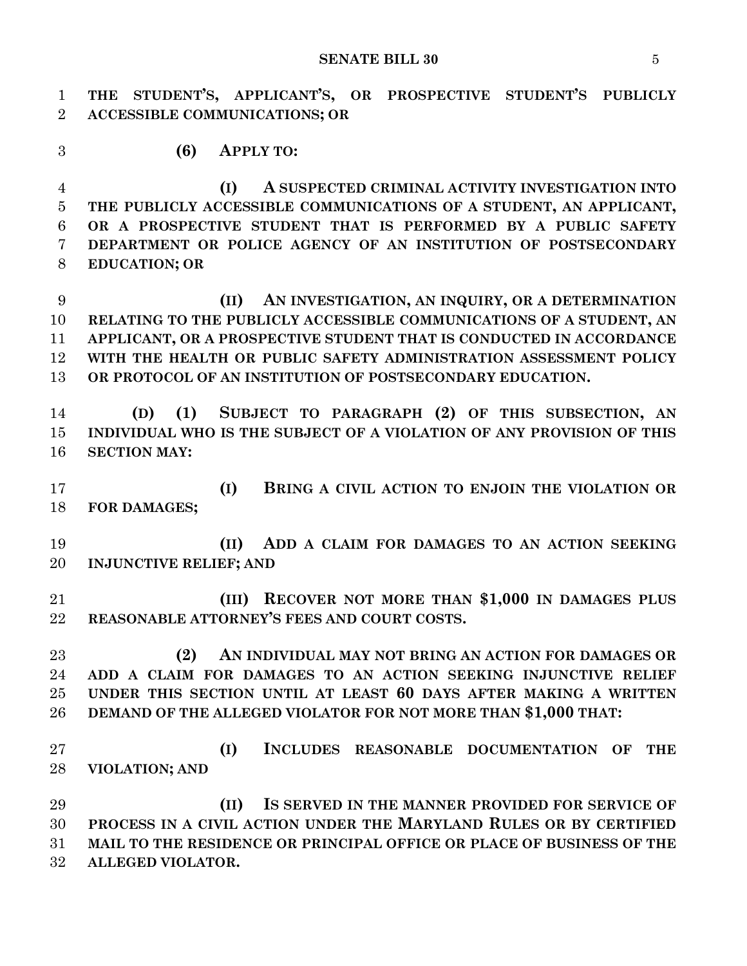**THE STUDENT'S, APPLICANT'S, OR PROSPECTIVE STUDENT'S PUBLICLY ACCESSIBLE COMMUNICATIONS; OR**

**(6) APPLY TO:**

 **(I) A SUSPECTED CRIMINAL ACTIVITY INVESTIGATION INTO THE PUBLICLY ACCESSIBLE COMMUNICATIONS OF A STUDENT, AN APPLICANT, OR A PROSPECTIVE STUDENT THAT IS PERFORMED BY A PUBLIC SAFETY DEPARTMENT OR POLICE AGENCY OF AN INSTITUTION OF POSTSECONDARY EDUCATION; OR**

 **(II) AN INVESTIGATION, AN INQUIRY, OR A DETERMINATION RELATING TO THE PUBLICLY ACCESSIBLE COMMUNICATIONS OF A STUDENT, AN APPLICANT, OR A PROSPECTIVE STUDENT THAT IS CONDUCTED IN ACCORDANCE WITH THE HEALTH OR PUBLIC SAFETY ADMINISTRATION ASSESSMENT POLICY OR PROTOCOL OF AN INSTITUTION OF POSTSECONDARY EDUCATION.**

 **(D) (1) SUBJECT TO PARAGRAPH (2) OF THIS SUBSECTION, AN INDIVIDUAL WHO IS THE SUBJECT OF A VIOLATION OF ANY PROVISION OF THIS SECTION MAY:**

 **(I) BRING A CIVIL ACTION TO ENJOIN THE VIOLATION OR FOR DAMAGES;**

 **(II) ADD A CLAIM FOR DAMAGES TO AN ACTION SEEKING INJUNCTIVE RELIEF; AND**

 **(III) RECOVER NOT MORE THAN \$1,000 IN DAMAGES PLUS REASONABLE ATTORNEY'S FEES AND COURT COSTS.**

 **(2) AN INDIVIDUAL MAY NOT BRING AN ACTION FOR DAMAGES OR ADD A CLAIM FOR DAMAGES TO AN ACTION SEEKING INJUNCTIVE RELIEF UNDER THIS SECTION UNTIL AT LEAST 60 DAYS AFTER MAKING A WRITTEN DEMAND OF THE ALLEGED VIOLATOR FOR NOT MORE THAN \$1,000 THAT:**

 **(I) INCLUDES REASONABLE DOCUMENTATION OF THE VIOLATION; AND**

 **(II) IS SERVED IN THE MANNER PROVIDED FOR SERVICE OF PROCESS IN A CIVIL ACTION UNDER THE MARYLAND RULES OR BY CERTIFIED MAIL TO THE RESIDENCE OR PRINCIPAL OFFICE OR PLACE OF BUSINESS OF THE ALLEGED VIOLATOR.**